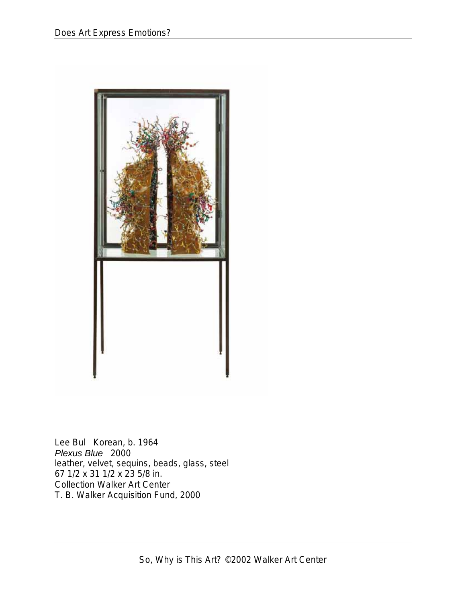

Lee Bul Korean, b. 1964 *Plexus Blue* 2000 leather, velvet, sequins, beads, glass, steel 67 1/2 x 31 1/2 x 23 5/8 in. Collection Walker Art Center T. B. Walker Acquisition Fund, 2000

So, Why is This Art? ©2002 Walker Art Center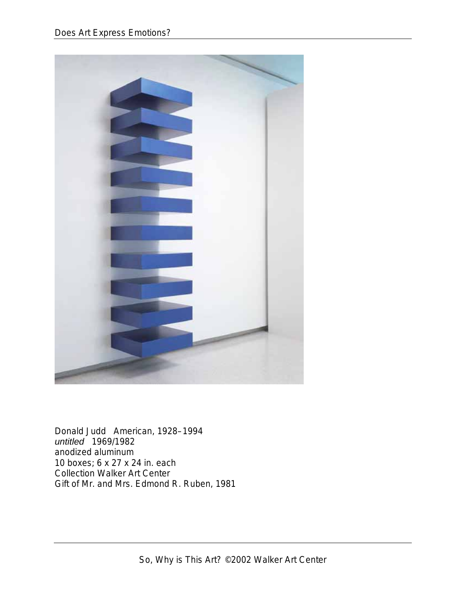

Donald Judd American, 1928–1994 *untitled* 1969/1982 anodized aluminum 10 boxes; 6 x 27 x 24 in. each Collection Walker Art Center Gift of Mr. and Mrs. Edmond R. Ruben, 1981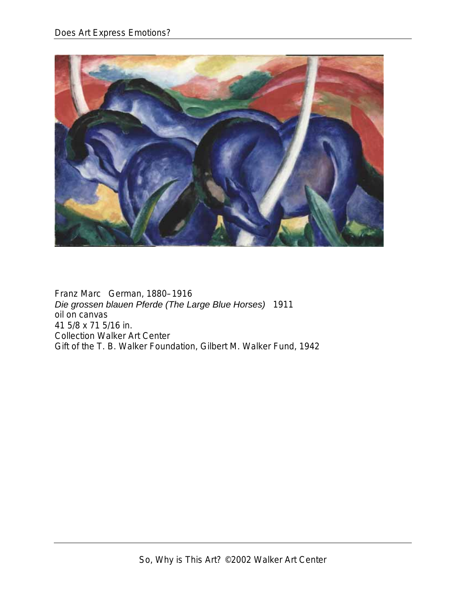

Franz Marc German, 1880–1916 *Die grossen blauen Pferde (The Large Blue Horses)* 1911 oil on canvas 41 5/8 x 71 5/16 in. Collection Walker Art Center Gift of the T. B. Walker Foundation, Gilbert M. Walker Fund, 1942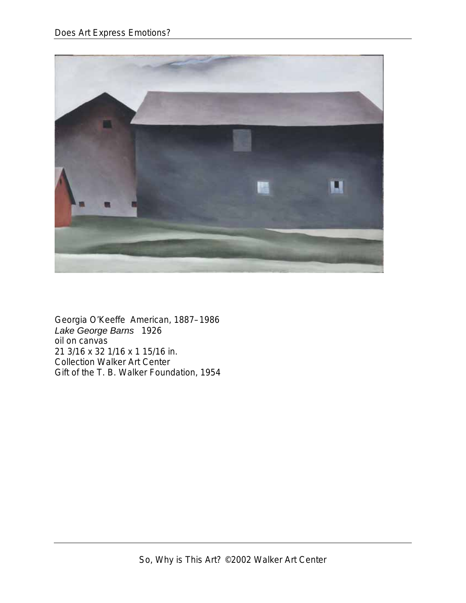

Georgia O'Keeffe American, 1887–1986 *Lake George Barns* 1926 oil on canvas 21 3/16 x 32 1/16 x 1 15/16 in. Collection Walker Art Center Gift of the T. B. Walker Foundation, 1954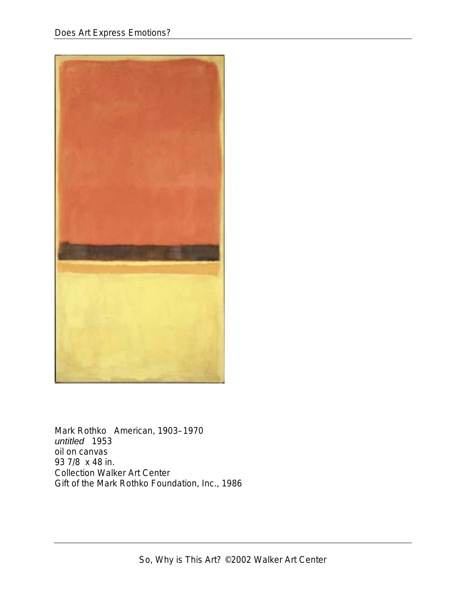

Mark Rothko American, 1903–1970 *untitled* 1953 oil on canvas 93 7/8 x 48 in. Collection Walker Art Center Gift of the Mark Rothko Foundation, Inc., 1986